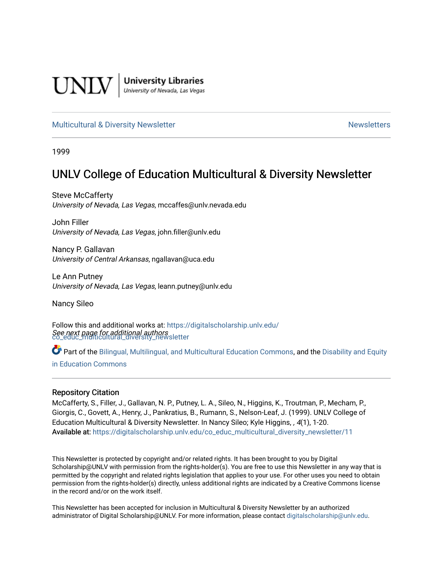

**University Libraries**<br>University of Nevada, Las Vegas

### [Multicultural & Diversity Newsletter](https://digitalscholarship.unlv.edu/co_educ_multicultural_diversity_newsletter) Newsletter [Newsletters](https://digitalscholarship.unlv.edu/co_educ_newsletters) Newsletters

1999

# UNLV College of Education Multicultural & Diversity Newsletter

Steve McCafferty University of Nevada, Las Vegas, mccaffes@unlv.nevada.edu

John Filler University of Nevada, Las Vegas, john.filler@unlv.edu

Nancy P. Gallavan University of Central Arkansas, ngallavan@uca.edu

Le Ann Putney University of Nevada, Las Vegas, leann.putney@unlv.edu

Nancy Sileo

See next page for additional authors [co\\_educ\\_multicultural\\_diversity\\_newsletter](https://digitalscholarship.unlv.edu/co_educ_multicultural_diversity_newsletter?utm_source=digitalscholarship.unlv.edu%2Fco_educ_multicultural_diversity_newsletter%2F11&utm_medium=PDF&utm_campaign=PDFCoverPages)  Follow this and additional works at: [https://digitalscholarship.unlv.edu/](https://digitalscholarship.unlv.edu/co_educ_multicultural_diversity_newsletter?utm_source=digitalscholarship.unlv.edu%2Fco_educ_multicultural_diversity_newsletter%2F11&utm_medium=PDF&utm_campaign=PDFCoverPages)

Part of the [Bilingual, Multilingual, and Multicultural Education Commons,](http://network.bepress.com/hgg/discipline/785?utm_source=digitalscholarship.unlv.edu%2Fco_educ_multicultural_diversity_newsletter%2F11&utm_medium=PDF&utm_campaign=PDFCoverPages) and the Disability and Equity [in Education Commons](http://network.bepress.com/hgg/discipline/1040?utm_source=digitalscholarship.unlv.edu%2Fco_educ_multicultural_diversity_newsletter%2F11&utm_medium=PDF&utm_campaign=PDFCoverPages)

### Repository Citation

McCafferty, S., Filler, J., Gallavan, N. P., Putney, L. A., Sileo, N., Higgins, K., Troutman, P., Mecham, P., Giorgis, C., Govett, A., Henry, J., Pankratius, B., Rumann, S., Nelson-Leaf, J. (1999). UNLV College of Education Multicultural & Diversity Newsletter. In Nancy Sileo; Kyle Higgins, , 4(1), 1-20. Available at: [https://digitalscholarship.unlv.edu/co\\_educ\\_multicultural\\_diversity\\_newsletter/11](https://digitalscholarship.unlv.edu/co_educ_multicultural_diversity_newsletter/11) 

This Newsletter is protected by copyright and/or related rights. It has been brought to you by Digital Scholarship@UNLV with permission from the rights-holder(s). You are free to use this Newsletter in any way that is permitted by the copyright and related rights legislation that applies to your use. For other uses you need to obtain permission from the rights-holder(s) directly, unless additional rights are indicated by a Creative Commons license in the record and/or on the work itself.

This Newsletter has been accepted for inclusion in Multicultural & Diversity Newsletter by an authorized administrator of Digital Scholarship@UNLV. For more information, please contact [digitalscholarship@unlv.edu.](mailto:digitalscholarship@unlv.edu)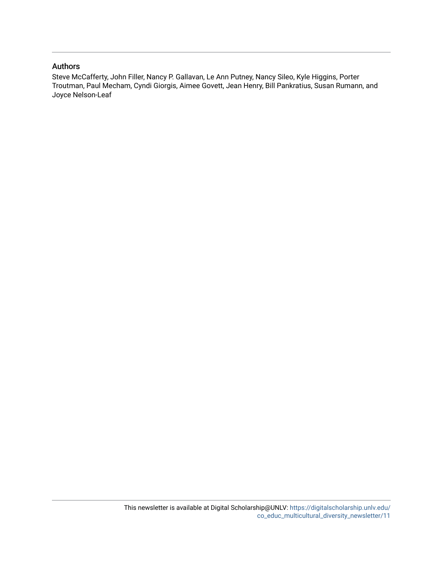### Authors

Steve McCafferty, John Filler, Nancy P. Gallavan, Le Ann Putney, Nancy Sileo, Kyle Higgins, Porter Troutman, Paul Mecham, Cyndi Giorgis, Aimee Govett, Jean Henry, Bill Pankratius, Susan Rumann, and Joyce Nelson-Leaf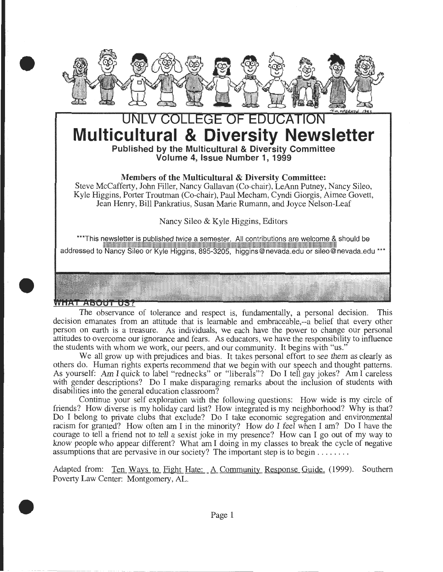

# LEGE OF EDUCATI **Multicultural & Diversity Newsletter Published by the Multicultural & Diversity Committee**

**Volume 4, Issue Number 1, 1999** 

## **Members of the Multicultural & Diversity Committee:**

Steve McCafferty, John Filler, Nancy Gallavan (Co-chair), LeAnn Putney, Nancy Sileo, Kyle Higgins, Porter Troutman (Co-chair), Paul Mecham, Cyndi Giorgis, Aimee Govett, Jean Henry, Bill Pankratius, Susan Marie Rumann, and Joyce Nelson-Leaf

Nancy Sileo & Kyle Higgins, Editors

\*\*\*This newsletter is published twice a semester. All contributions are welcome & should be 111111111111111111111111111111111111111111111111111111111111111111111111111111111111111111111111111111111111111111111111111111111111111111111111111111111111111111111111 addressed to Nancy Sileo or Kyle Higgins, 895-3205, higgins@nevada.edu or sileo@nevada.edu \*\*\*

## VHAT ABOUT US?

The observance of tolerance and respect is, fundamentally, a personal decision. This decision emanates from an attitude that is learnable and embraceable,--a belief that every other person on earth is a treasure. As individuals, we each have the power to change our personal attitudes to overcome our ignorance and fears. As educators, we have the responsibility to influence the students with whom we work, our peers, and our community. It begins with "us."

We all grow up with prejudices and bias. It takes personal effort to see them as clearly as others do. Human rights experts recommend that we begin with our speech and thought patterns. As yourself: Am I quick to label "rednecks" or "liberals"? Do I tell gay jokes? Am I careless with gender descriptions? Do I make disparaging remarks about the inclusion of students with disabilities into the general education classroom?

Continue your self exploration with the following questions: How wide is my circle of friends? How diverse is my holiday card list? How integrated is my neighborhood? Why is that? Do I belong to private clubs that exclude? Do I take economic segregation and environmental racism for granted? How often am I in the minority? How do I feel when I am? Do I have the courage to tell a friend not to tell a sexist joke in my presence? How can I go out of my way to know people who appear different? What am I doing in my classes to break the cycle of negative assumptions that are pervasive in our society? The important step is to begin ....... .

Adapted from: Ten Ways to Fight Hate: A Community Response Guide. (1999). Southern Poverty Law Center: Montgomery, AL .



•

•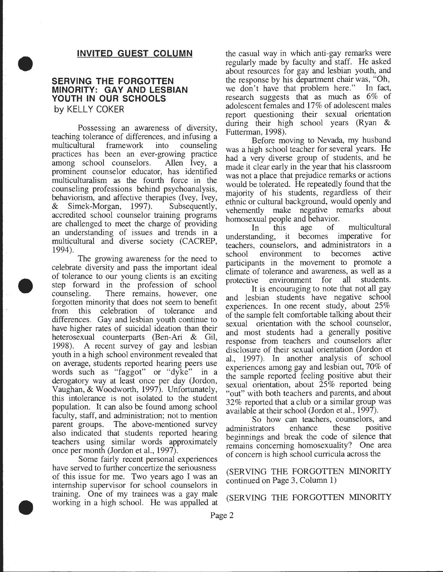### **INVITED GUEST COLUMN**

### **SERVING THE FORGOTTEN MINORITY: GAY AND LESBIAN YOUTH IN OUR SCHOOLS by KELLY COKER**

•

•

•

Possessing an awareness of diversity, teaching tolerance of differences, and infusing a multicultural framework into counseling practices has been an ever-growing practice<br>among school counselors. Allen Ivey, a among school counselors. prominent counselor educator, has identified multiculturalism as the fourth force in the counseling professions behind psychoanalysis, behaviorism, and affective therapies (lvey, Ivey, & Simek-Morgan, 1997). Subsequently, accredited school counselor training programs are challenged to meet the charge of providing an understanding of issues and trends in a multicultural and diverse society (CACREP, 1994).

The growing awareness for the need to celebrate diversity and pass the important ideal of tolerance to our young clients is an exciting step forward in the profession of school counseling. There remains, however, one forgotten minority that does not seem to benefit from this celebration of tolerance and differences. Gay and lesbian youth continue to have higher rates of suicidal ideation than their heterosexual counterparts (Ben-Ari & Gil, 1998). A recent survey of gay and lesbian youth in a high school environment revealed that on average, students reported hearing peers use words such as "faggot" or "dyke" in a derogatory way at least once per day (Jordon, Vaughan, & Woodworth, 1997). Unfortunately, this intolerance is not isolated to the student population. It can also be found among school faculty, staff, and administration; not to mention parent groups. The above-mentioned survey also indicated that students reported heanng teachers using similar words approximately once per month (Jordon et al., 1997). .

Some fairly recent personal experiences have served to further concertize the seriousness of this issue for me. Two years ago I was an internship supervisor for school counselors in training. One of my trainees was a gay male (SERVING THE FORGOTTEN MINORITY working in a high school. He was appalled at

the casual way in which anti-gay remarks were regularly made by faculty and staff. He asked about resources for gay and lesbian youth, and the response by his department chair was, "Oh, we don't have that problem here." In fact, research suggests that as much as 6% of adolescent females and 17% of adolescent males report questioning their sexual orientation during their high school years (Ryan & Futterman, 1998).

Before moving to Nevada, my husband was a high school teacher for several years. He had a very diverse group of students, and he made it clear early in the year that his classroom was not a place that prejudice remarks or actions would be tolerated. He repeatedly found that the majority of his students, regardless of their ethnic or cultural background, would openly and vehemently make negative remarks about homosexual people and behavior.<br>In this age of multicultural

understanding, it becomes imperative for teachers, counselors, and administrators in. a school environment to becomes active participants in the movement to promote a climate of tolerance and awareness, as well as a protective environment for all students.

It is encouraging to note that not all gay and lesbian students have negative school experiences. In one recent study, about 25% of the sample felt comfortable talking about their sexual orientation with the school counselor, and most students had a generally positive response from teachers and counselors after disclosure of their sexual orientation (Jordon et al., 1997). In another analysis of school experiences among gay and lesbian out,  $70\%$  of the sample reported feeling positive abut their sexual orientation, about  $25\%$  reported being "out" with both teachers and parents, and about 32% reported that a club or a similar group was available at their school (Jordon et al., 1997).

So how can teachers, counselors, and<br>strators enhance these positive administrators enhance these beginnings and break the code of silence that remains concerning homosexuality? One area of concern is high school curricula across the

### (SERVING THE FORGOTTEN MINORITY continued on Page 3, Column **1)**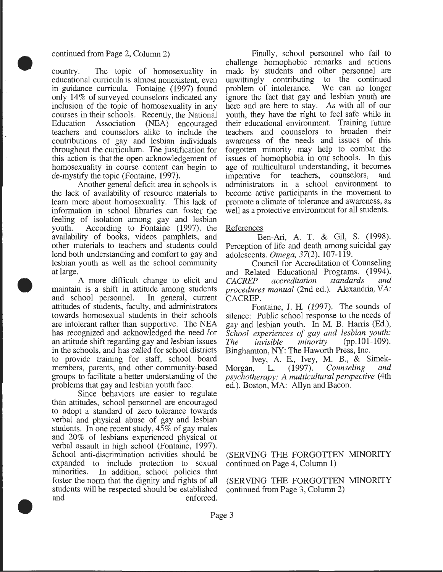#### continued from Page 2, Column 2)

•

•

•

country. The topic of homosexuality in educational curricula is almost nonexistent, even in guidance curricula. Fontaine (1997) found only 14% of surveyed counselors indicated any inclusion of the topic of homosexuality in any courses in their schools. Recently, the National Education Association (NEA) encouraged teachers and counselors alike to include the contributions of gay and lesbian individuals throughout the curriculum. The justification for this action is that the open acknowledgement of homosexuality in course content can begin to de-mystify the topic (Fontaine, 1997).

Another general deficit area in schools is the lack of availability of resource materials to learn more about homosexuality. This lack of information in school libraries can foster the feeling of isolation among gay and lesbian youth. According to Fontaine (1997), the availability of books, videos pamphlets, and other materials to teachers and students could lend both understanding and comfort to gay and lesbian youth as well as the school community at large.

A more difficult change to elicit and maintain is a shift in attitude among students and school personnel. In general, current attitudes of students, faculty, and administrators towards homosexual students in their schools are intolerant rather than supportive. The NEA has recognized and acknowledged the need for an attitude shift regarding gay and lesbian issues in the schools, and has called for school districts to provide training for staff, school board members, parents, and other community-based groups to facilitate a better understanding of the problems that gay and lesbian youth face.

Since behaviors are easier to regulate than attitudes, school personnel are encouraged to adopt a standard of zero tolerance towards verbal and physical abuse of gay and lesbian students. In one recent study, 45% of gay males and 20% of lesbians experienced physical or verbal assault in high school (Fontaine, 1997). School anti-discrimination activities should be expanded to include protection to sexual minorities. In addition, school policies that foster the norm that the dignity and rights of all students will be respected should be established and enforced.

Finally, school personnel who fail to challenge homophobic remarks and actions made by students and other personnel are unwittingly contributing to the continued<br>problem of intolerance. We can no longer problem of intolerance. ignore the fact that gay and lesbian youth are here and are here to stay. As with all of our youth, they have the right to feel safe while in their educational environment. Training future teachers and counselors to broaden their awareness of the needs and issues of this forgotten minority may help to combat the issues of homophobia in our schools. In this age of multicultural understanding, it becomes<br>imperative for teachers, counselors, and imperative for teachers, counselors, administrators in a school environment to become active participants in the movement to promote a climate of tolerance and awareness, as well as a protective environment for all students.

#### References

Ben-Ari, A T. & Gil, S. (1998). Perception of life and death among suicidal gay adolescents. *Omega,* 37(2), 107-119.

Council for Accreditation of Counseling and Related Educational Programs. (1994). *CACREP accreditation standards and procedures manual* (2nd ed.). Alexandria, VA: CACREP.

Fontaine, J. H. (1997). The sounds of silence: Public school response to the needs of gay and lesbian youth. In M. B. Harris (Ed.), *School experiences of gay and lesbian youth: The invisible minority* (pp.101-109). Binghamton, NY: The Haworth Press, Inc.

Ivey, A E., Ivey, M. B., & Simek-Morgan, L. (1997). *Counseling and psychotherapy: A multicultural perspective* (4th ed.). Boston, MA: Allyn and Bacon.

(SERVING THE FORGOTTEN MINORITY continued on Page 4, Column 1)

(SERVING THE FORGOTTEN MINORITY continued from Page 3, Column 2)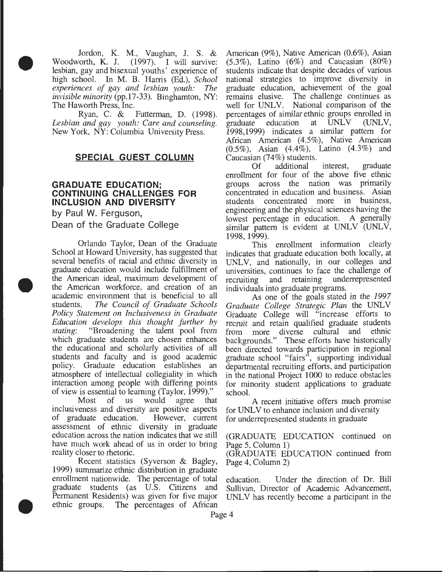Jordon, K. M., Vaughan, J. S. & corth, K. J. (1997). I will survive: Woodworth, K. J.  $(1997)$ . lesbian, gay and bisexual youths' experience of high school. In M. B. Harris (Ed.), *School experiences of gay and lesbian youth: The invisible minority* (pp.17-33). Binghamton, NY:

•

•

•

The Haworth Press, Inc.<br>Ryan, C. & Futterman, D. (1998). *Lesbian and gay youth: Care and counseling.*  New York, NY: Columbia University Press.

### **SPECIAL GUEST COLUMN**

### **GRADUATE EDUCATION; CONTINUING CHALLENGES FOR INCLUSION AND DIVERSITY**

by Paul W. Ferguson, Dean of the Graduate College

Orlando Taylor, Dean of the Graduate School at Howard University, has suggested that several benefits of racial and ethnic diversity in graduate education would include fulfillment of the American ideal, maximum development of the American workforce, and creation of an academic environment that is beneficial to all students. *The Council of Graduate Schools Policy Statement on Inclusiveness in Graduate Education develops this thought further by stating:* "Broadening the talent pool from which graduate students are chosen enhances the educational and scholarly activities of all students and faculty and is good academic policy. Graduate education establishes an atmosphere of intellectual collegiality in which interaction among people with differing points of view is essential to learning (Taylor, 1999)."

Most of us would agree that inclusiveness and diversity are positive aspects of graduate education. However, current assessment of ethnic diversity in graduate education across the nation indicates that we still have much work ahead of us in order to bring reality closer to rhetoric.

Recent statistics (Syverson & Bagley, 1999) summarize ethnic distribution in graduate enrollment nationwide. The percentage of total graduate students (as U.S. Citizens and Permanent Residents) was given for five major ethnic groups. The percentages of African

American (9%), Native American (0.6%), Asian  $(5.3\%)$ , Latino  $(6\%)$  and Caucasian  $(80\%)$ students indicate that despite decades of various national strategies to improve diversity in graduate education, achievement of the goal remains elusive. The challenge continues as well for UNLV. National comparison of the percentages of similar ethnic groups enrolled in<br>graduate education at UNLV (UNLV, graduate education at 1998,1999) indicates a similar pattern for African American (4.5%), Native American (0.5%), Asian (4.4%), Latino (4.3%) and Caucasian (74%) students.

Of additional interest, graduate enrollment for four of the above five ethnic groups across the nation was primarily concentrated in education and business. Asian students concentrated more in business, engineering and the physical sciences having the lowest percentage in education. A generally similar pattern is evident at UNLV (UNLV, 1998, 1999).

This enrollment information clearly indicates that graduate education both locally, at UNLV, and nationally, in our colleges and universities, continues to face the challenge of recruiting and retaining underrepresented recruiting and retaining individuals into graduate programs.

As one of the goals stated in the *1997 Graduate College Strategic Plan* the UNL V Graduate College will "increase efforts to recruit and retain qualified graduate students<br>from more diverse cultural and ethnic from more diverse cultural and backgrounds." These efforts have historically been directed towards participation in regional graduate school "fairs", supporting individual departmental recruiting efforts, and participation in the national Project 1000 to reduce obstacles for minority student applications to graduate school.

A recent initiative offers much promise for UNLV to enhance inclusion and diversity for underrepresented students in graduate

(GRADUATE EDUCATION continued on Page 5, Column 1)

(GRADUATE EDUCATION continued from Page 4, Column 2)

education. Under the direction of Dr. Bill Sullivan, Director of Academic Advancement, UNLV has recently become a participant in the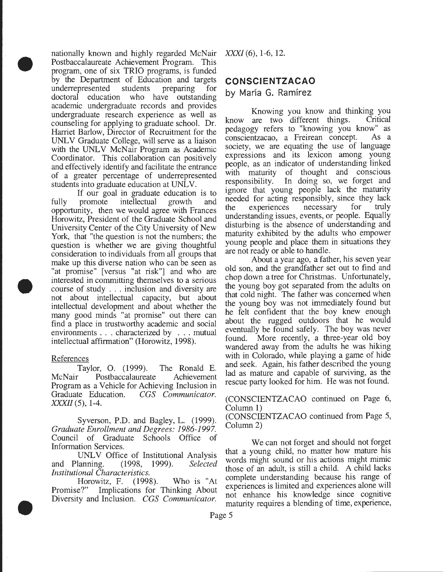nationally known and highly regarded McNair Postbaccalaureate Achievement Program. This program, one of six TRIO programs, is funded by the Department of Education and targets underrepresented\_ students preparing for doctoral education who have outstanding academic undergraduate records and provides undergraduate research experience as well as counseling for applying to graduate school. Dr. Harriet Barlow, Director of Recruitment for the UNLV Graduate College, will serve as a liaison with the UNLV McNair Program as Academic Coordinator. This collaboration can positively and effectively identify and facilitate the entrance of a greater percentage of underrepresented students into graduate education at UNLV.

If our goal in graduate education is to fully promote intellectual growth and opportumty, then we would agree with Frances Horowitz, President of the Graduate School and University Center of the City University of New York, that "the question is not the numbers; the question is whether we are giving thoughtful consideration to individuals from all groups that make up this diverse nation who can be seen as "at promise" [versus "at risk"] and who are mterested in committing themselves to a serious course of study ... inclusion and diversity are not about intellectual capacity, but about intellectual development and about whether the many good minds "at promise" out there can find a place in trustworthy academic and social environments . . . characterized by . . . mutual mtellectual affirmation" (Horowitz, 1998).

### References

•

•

•

Taylor, 0. (1999). The Ronald E. McNair Postbaccalaureate Achievement Program as a Vehicle for Achieving Inclusion in Graduate Education. *CGS Communicator. XXXII* (5), 1-4.

Syverson, P.D. and Bagley, L. (1999). Graduate *Enrollment and Degrees: 1986-1997.* Council of Graduate Schools Office of Information Services.

UNLV Office of Institutional Analysis and Planning. (1998, 1999). *Selected Institutional Characteristics.* 

Horowitz, F. (1998). Who is "At Promise?" Implications for Thinking About Diversity and Inclusion. *CGS Communicator.* 

*XXXI* (6), 1-6, 12.

# **CON SCI ENTZACAO**

by María G. Ramírez

Knowing you know and thinking you are two different things. Critical know are two different things. pedagogy refers to "knowing you know" as conscientzacao, a Freirean concept. As a society, we are equating the use of language expressions and its lexicon among young people, as an indicator of understanding linked with maturity of thought and conscious responsibility. In doing so, we forget and ignore that young people lack the maturity needed for acting responsibly, since they lack the experiences necessary for truly understanding issues, events, or people. Equally disturbing is the absence of understanding and maturity exhibited by the adults who empower young people and place them in situations they are not ready or able to handle.

About a year ago, a father, his seven year old son, and the grandfather set out to find and chop down a tree for Christmas. Unfortunately, the young boy got separated from the adults on that cold night. The father was concerned when the young boy was not immediately found but he felt confident that the boy knew enough about the rugged outdoors that he would eventually be found safely. The boy was never found. More recently, a three-year old boy wandered away from the adults he was hiking with in Colorado, while playing a game of hide and seek. Again, his father described the young lad as mature and capable of surviving, as the rescue party looked for him. He was not found.

### (CONSCIENTZACAO continued on Page 6, Column 1)

(CONSCIENTZACAO continued from Page 5, Column 2)

We can not forget and should not forget that a young child, no matter how mature his words might sound or his actions might mimic those of an adult, is still a child. A child lacks complete understanding because his range of experiences is limited and experiences alone will not enhance his knowledge since cognitive maturity requires a blending of time, experience,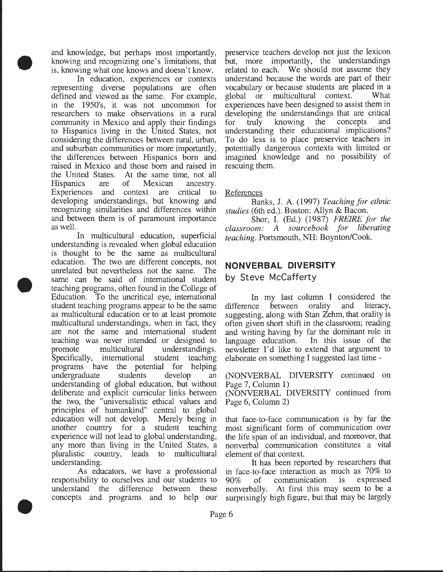and knowledge, but perhaps most importantly, knowing and recognizing one's limitations, that is, knowing what one knows and doesn't know.

•

•

•

In education, experiences or contexts representing diverse populations are often defined and viewed as the same. For example, in the 1950's, it was not uncommon for researchers to make observations in a rural community in Mexico and apply their findings to Hispanics living in the United States, not considering the differences between rural, urban, and suburban communities or more importantly, the differences between Hispanics born and raised in Mexico and those born and raised in the United States. At the same time, not all Hispanics are of Mexican ancestry. Experiences and context are critical to developing understandings, but knowing and recognizing similarities and differences within and between them is of paramount importance as well.

In multicultural education, superficial understanding is revealed when global education is thought to be the same as multicultural education. The two are different concepts, not unrelated but nevertheless not the same. The same can be said of international student teaching programs, often found in the College of Education. To the uncritical eye, international student teaching programs appear to be the same as multicultural education or to at least promote multicultural understandings, when in fact, they are not the same and international student teaching was never intended or designed to promote multicultural understandings. Specifically, international student teaching programs have the potential for helping undergraduate students develop an understanding of global education, but without deliberate and explicit curricular links between the two, the "universalistic ethical values and principles of humankind" central to global education will not develop. Merely being in another country for a student teaching experience will not lead to global understanding, any more than living in the United States, a pluralistic country, leads to multicultural understanding.

As educators, we have a professional responsibility to ourselves and our students to understand the difference between these concepts and programs and to help our

preservice teachers develop not just the lexicon but, more importantly, the understandings related to each. We should not assume they understand because the words are part of their vocabulary or because students are placed in a global or multicultural context. What experiences have been designed to assist them in developing the understandings that are critical for truly knowing the concepts and understanding their educational implications? To do less is to place preservice teachers in potentially dangerous contexts with limited or imagined knowledge and no possibility of rescuing them.

References

Banks, J. A. (1997) *Teaching for ethnic studies* (6th ed.). Boston: Allyn & Bacon.

Shor, I. (Ed.) (1987) *FREIRE for the classroom: A sourcebook for liberating teaching.* Portsmouth, NH: Boynton/Cook.

# **NONVERBAL DIVERSITY**

by Steve McCafferty

In my last column I considered the difference between orality and literacy, suggesting, along with Stan Zehm, that orality is often given short shift in the classroom; reading and writing having by far the dominant role in language education. In this issue of the newsletter I'd like to extend that argument to elaborate on something I suggested last time -

(NONVERBAL DIVERSITY continued on Page 7, Column 1)

(NONVERBAL DIVERSITY continued from Page 6, Column 2)

that face-to-face communication is by far the most significant form of communication over the life span of an individual, and moreover, that nonverbal communication constitutes a vital element of that context.

It has been reported by researchers that in face-to-face interaction as much as 70% to 90% of communication is expressed nonverbally. At first this may seem to be a surprisingly high figure, but that may be largely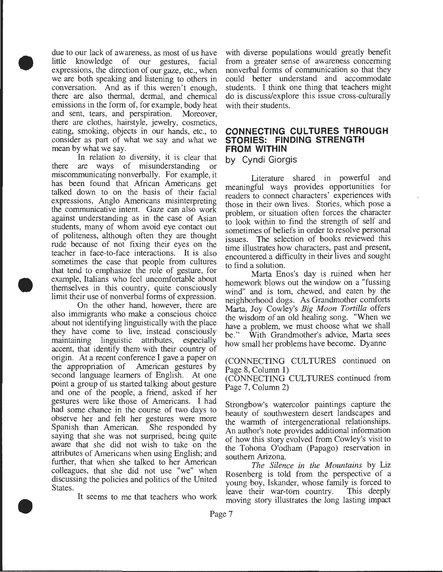• due to our lack of awareness, as most of us have little knowledge of our gestures, facial expressions, the direction of our gaze, etc., when we are both speaking and listening to others in conversation. And as if this weren't enough, there are also thermal, dermal, and chemical emissions in the form of, for example, body heat and sent, tears, and perspiration. Moreover, there are clothes, hairstyle, jewelry, cosmetics, eating, smoking, objects in our hands, etc., to consider as part of what we say and what we mean by what we say.

> In relation to diversity, it is clear that there are ways of misunderstanding or miscommunicating nonverbally. For example, it has been found that African Americans get talked down to on the basis of their facial expressions, Anglo Americans misinterpreting the communicative intent. Gaze can also work against understanding as in the case of Asian students, many of whom avoid eye contact out of politeness, although often they are thought rude because of not fixing their eyes on the teacher in face-to-face interactions. It is also sometimes the case that people from cultures that tend to emphasize the role of gesture, for example, Italians who feel uncomfortable about themselves in this country, quite consciously limit their use of nonverbal forms of expression.

•

•

On the other hand, however, there are also immigrants who make a conscious choice about not identifying linguistically with the place they have come to live, instead consciously maintaining linguistic attributes, especially accent, that identify them with their country of origin. At a recent conference I gave a paper on the appropriation of American gestures by second language learners of English. At one point a group of us started talking about gesture and one of the people, a friend, asked if her gestures were like those of Americans. I had had some chance in the course of two days to observe her and felt her gestures were more<br>Spanish than American. She responded by Spanish than American. saying that she was not surprised, being quite aware that she did not wish to take on the attributes of Americans when using English; and further, that when she talked to her American colleagues, that she did not use "we" when discussing the policies and politics of the Umted States.

It seems to me that teachers who work

with diverse populations would greatly benefit from a greater sense of awareness concermng nonverbal forms of communication so that they could better understand and accommodate students. I think one thing that teachers might do is discuss/explore this issue cross-culturally with their students.

## **CONNECTING CULTURES THROUGH STORIES: FINDING STRENGTH FROM WITHIN**

by Cyndi Giorgis

Literature shared in powerful and meaningful ways provides opportunities for readers to connect characters' experiences with those in their own lives. Stories, which pose a problem, or situation often forces the character to look within to find the strength of self and sometimes of beliefs in order to resolve personal issues. The selection of books reviewed this time illustrates how characters, past and present, encountered a difficulty in their lives and sought to find a solution.

Marta Enos's day is ruined when her homework blows out the window on a "fussing wind" and is tom, chewed, and eaten by the neighborhood dogs. As Grandmother comforts Marta, Joy Cowley's *Big Moon Tortilla* offers the wisdom of an old healmg song. When we have a problem, we must choose what we shall<br>be." With Grandmother's advice, Marta sees With Grandmother's advice, Marta sees how small her problems have become. Dyanne

(CONNECTING CULTURES continued on Page 8, Column 1)

(CONNECTING CULTURES continued from Page 7, Column 2)

Strongbow's watercolor paintings capture the beauty of southwestern desert landscapes and the warmth of intergenerational relationships. An author's note provides additional information of how this story evolved from Cowley's visit to the Tohona O'odham (Papago) reservation in southern Arizona.

*The Silence in the Mountains* by Liz Rosenberg is told from the perspective of a young boy, Iskander, whose family is\_ forced to leave their war-tom country. This deeply moving story illustrates the long lasting impact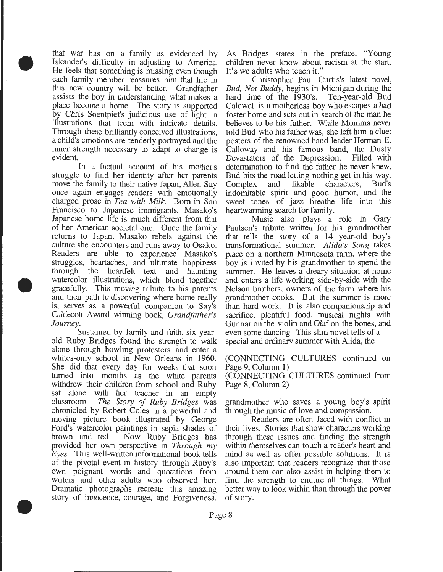that war has on a family as evidenced by Iskander's difficulty in adjusting to America. He feels that something is missing even though each family member reassures him that life in this new country will be better. Grandfather assists the boy in understanding what makes a place become a home. The story is supported by Chris Soentpiet's judicious use of light in illustrations that teem with intricate details. Through these brilliantly conceived illustrations, a child's emotions are tenderly portrayed and the inner strength necessary to adapt to change is evident.

•

•

•

In a factual account of his mother's struggle to find her identity after her parents move the family to their native Japan, Allen Say once again engages readers with emotionally charged prose in *Tea with Milk.* Born in San Francisco to Japanese immigrants, Masako's Japanese home life is much different from that of her American societal one. Once the family returns to Japan, Masako rebels against the culture she encounters and runs away to Osako. Readers are able to experience Masako's struggles, heartaches, and ultimate happiness through the heartfelt text and haunting watercolor illustrations, which blend together gracefully. This moving tribute to his parents and their path to discovering where home really is, serves as a powerful companion to Say's Caldecott Award winning book, *Grandfather's Journey.* 

Sustained by family and faith, six-yearold Ruby Bridges found the strength to walk alone through howling protesters and enter a whites-only school in New Orleans in 1960. She did that every day for weeks that soon turned into months as the white parents withdrew their children from school and Ruby sat alone with her teacher in an empty classroom. *The Story of Ruby Bridges* was chronicled by Robert Coles in a powerful and moving picture book illustrated by George Ford's watercolor paintings in sepia shades of brown and red. Now Ruby Bridges has provided her own perspective in *Through my Eyes.* This well-written informational book tells of the pivotal event in history through Ruby's own poignant words and quotations from writers and other adults who observed her. Dramatic photographs recreate this amazing story of innocence, courage, and Forgiveness.

As Bridges states in the preface, "Young children never know about racism at the start. It's we adults who teach it."

Christopher Paul Curtis's latest novel, *Bud, Not Buddy,* begins in Michigan during the hard time of the 1930's. Ten-year-old Bud Caldwell is a motherless boy who escapes a bad foster home and sets out in search of the man he believes to be his father. While Momma never told Bud who his father was, she left him a clue: posters of the renowned band leader Herman E. Calloway and his famous band, the Dusty Devastators of the Depression. Filled with determination to find the father he never knew, Bud hits the road letting nothing get in his way. Complex and likable characters, Bud's indomitable spirit and good humor, and the sweet tones of jazz breathe life into this heartwarming search for family.

Music also plays a role in Gary Paulsen's tribute written for his grandmother that tells the story of a 14 year-old boy's transformational summer. *Alida's Song* takes place on a northern Minnesota farm, where the boy is invited by his grandmother to spend the summer. He leaves a dreary situation at home and enters a life working side-by-side with the Nelson brothers, owners of the farm where his grandmother cooks. But the summer is more than hard work. It is also companionship and sacrifice, plentiful food, musical nights with Gunnar on the violin and Olaf on the bones, and even some dancing. This slim novel tells of a special and ordinary summer with Alida, the

(CONNECTING CULTURES continued on Page 9, Column 1)

(CONNECTING CULTURES continued from Page 8, Column 2)

grandmother who saves a young boy's spirit through the music of love and compassion.

Readers are often faced with conflict in their lives. Stories that show characters working through these issues and finding the strength within themselves can touch a reader's heart and mind as well as offer possible solutions. It is also important that readers recognize that those around them can also assist in helping them to find the strength to endure all things. What better way to look within than through the power of story .

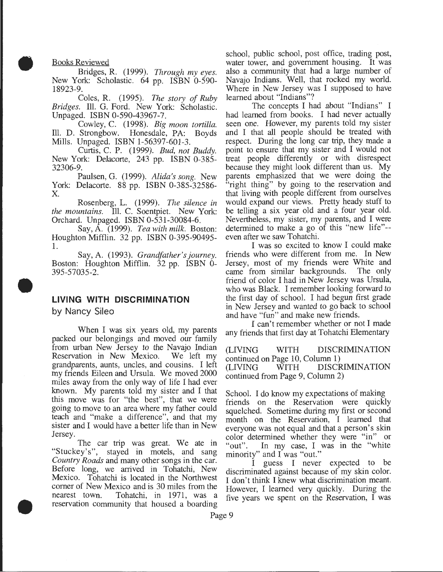Books Reviewed

•

•

•

Bridges, R. (1999). *Through my eyes.*  New York: Scholastic. 64 pp. ISBN 0-590- 18923-9.

Coles, R. (1995). *The story of Ruby Bridges.* Ill. G. Ford. New York: Scholastic. Unpaged. ISBN 0-590-43967-7.

Cowley, C. (1998). *Big moon tortilla.*  Ill. D. Strongbow. Honesdale, PA: Boyds Mills. Unpaged. ISBN 1-56397-601-3.

Curtis, C. P. (1999). *Bud, not Buddy.*  New York: Delacorte, 243 pp. ISBN 0-385- 32306-9.

Paulsen, G. (1999). *Alida's song.* New York: Delacorte. 88 pp. ISBN 0-385-32586- X.

Rosenberg, L. (1999). *The silence in the mountains.* Ill. C. Soentpiet. New York: Orchard. Unpaged. ISBN 0-531-30084-6.

Say, A. (1999). *Tea with milk.* Boston: Houghton Mifflin. 32 pp. ISBN 0-395-90495- 1.

Say, A. (1993). *Grandfather's journey.*  Boston: Houghton Mifflin. 32 pp. ISBN 0- 395-57035-2.

# **LIVING WITH DISCRIMINATION**

by Nancy Sileo

When I was six years old, my parents packed our belongings and moved our family from urban New Jersey to the Navajo Indian Reservation in New Mexico. We left my grandparents, aunts, uncles, and cousins. I left my friends Eileen and Ursula. We moved 2000 miles away from the only way of life I had ever known. My parents told my sister and I that this move was for "the best", that we were going to move to an area where my father could teach and "make a difference", and that my sister and I would have a better life than in New Jersey.

The car trip was great. We ate in "Stuckey's", stayed in motels, and sang *Country Roads* and many other songs in the car. Before long, we arrived in Tohatchi, New Mexico. Tohatchi is located in the Northwest corner of New Mexico and is 30 miles from the nearest town. Tohatchi, in 1971, was a reservation community that housed a boarding

school, public school, post office, trading post, water tower, and government housing. It was also a community that had a large number of Navajo Indians. Well, that rocked my world. Where in New Jersey was I supposed to have learned about "Indians"?

The concepts I had about "Indians" I had learned from books. I had never actually seen one. However, my parents told my sister and I that all people should be treated with respect. During the long car trip, they made a point to ensure that my sister and I would not treat people differently or with disrespect because they might look different than us. My parents emphasized that we were doing the "right thing" by going to the reservation and that living with people different from ourselves would expand our views. Pretty heady stuff to be telling a six year old and a four year old. Nevertheless, my sister, my parents, and I were determined to make a go of this "new life"- even after we saw Tohatchi.

I was so excited to know I could make friends who were different from me. In New Jersey, most of my friends were White and came from similar backgrounds. The only came from similar backgrounds. friend of color I had in New Jersey was Ursula, who was Black. I remember looking forward to the first day of school. I had begun first grade in New Jersey and wanted to go back to school and have "fun" and make new friends.

I can't remember whether or not I made any friends that first day at Tohatchi Elementary

(LIVING WITH DISCRIMINATION continued on Page 10, Column 1) (LIVING WITH DISCRIMINATION continued from Page 9, Column 2)

School. I do know my expectations of making friends on the Reservation were quickly squelched. Sometime during my first or second month on the Reservation, I learned that everyone was not equal and that a person's skin color determined whether they were "in" or<br>"out". In my case, I was in the "white" In my case, I was in the "white minority" and I was "out."

I guess I never expected to be discriminated against because of my skin color. I don't think I knew what discrimination meant. However, I learned very quickly. During the five years we spent on the Reservation, I was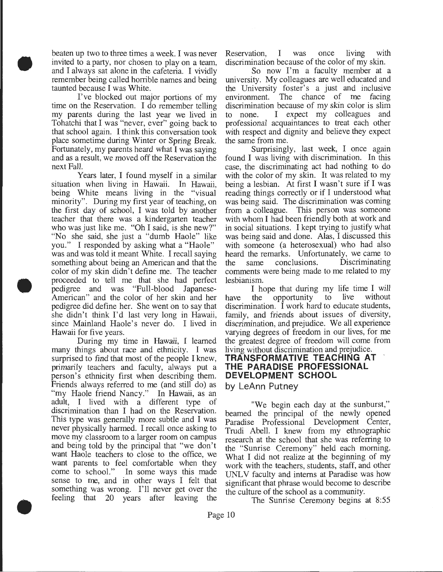beaten up two to three times a week. I was never invited to a party, nor chosen to play on a team, and I always sat alone in the cafeteria. I vividly remember being called horrible names and being taunted because I was White.

•

•

•

I've blocked out major portions of my time on the Reservation. I do remember telling my parents during the last year we lived in Tohatchi that I was "never, ever" going back to that school again. I think this conversation took place sometime during Winter or Spring Break. Fortunately, my parents heard what I was saying and as a result, we moved off the Reservation the next Fall.

Years later, I found myself in a similar situation when living in Hawaii. In Hawaii, being White means living in the "visual minority". During my first year of teaching, on the first day of school, I was told by another teacher that there was a kindergarten teacher who was just like me. "Oh I said, is she new?" "No she said, she just a "dumb Haole" like you." I responded by asking what a "Haole" was and was told it meant White. I recall saying something about being an American and that the color of my skin didn't define me. The teacher proceeded to tell me that she had perfect pedigree and was "Full-blood Japanese-American" and the color of her skin and her pedigree did define her. She went on to say that she didn't think I'd last very long in Hawaii, since Mainland Haole's never do. I lived in Hawaii for five years.

During my time in Hawaii, I learned many things about race and ethnicity. I was surprised to find that most of the people I knew, primarily teachers and faculty, always put a person's ethnicity first when describing them. Friends always referred to me (and still do) as "my Haole friend Nancy." In Hawaii, as an adult, I lived with a different type of discrimination than I had on the Reservation. This type was generally more subtle and I was never physically harmed. I recall once asking to move my classroom to a larger room on campus and being told by the principal that "we don't want Haole teachers to close to the office, we want parents to feel comfortable when they come to school." In some ways this made sense to me, and in other ways I felt that something was wrong. I'll never get over the feeling that 20 years after leaving the

Reservation, I was once living with discrimination because of the color of my skin.

So now I'm a faculty member at a university. My colleagues are well educated and the University foster's a just and inclusive environment. The chance of me facing discrimination because of my skin color is slim to none. I expect my colleagues and professional acquaintances to treat each other with respect and dignity and believe they expect the same from me.

Surprisingly, last week, I once again found I was living with discrimination. In this case, the discriminating act had nothing to do with the color of my skin. It was related to my being a lesbian. At first I wasn't sure if I was reading things correctly or if I understood what was being said. The discrimination was coming from a colleague. This person was someone with whom I had been friendly both at work and in social situations. I kept trying to justify what was being said and done. Alas, I discussed this with someone (a heterosexual) who had also heard the remarks. Unfortunately, we came to<br>the same conclusions. Discriminating the same conclusions. Discriminating comments were being made to me related to my lesbianism.

I hope that during my life time I will have the opportunity to live without discrimination. I work hard to educate students, family, and friends about issues of diversity, discrimination, and prejudice. We all experience varying degrees of freedom in our lives, for me the greatest degree of freedom will come from living without discrimination and prejudice. **TRANSFORMATIVE TEACHING AT THE PARADISE PROFESSIONAL DEVELOPMENT SCHOOL** 

# **by LeAnn Putney**

"We begin each day at the sunburst," beamed the principal of the newly opened Paradise Professional Development Center, Trudi Abell. I knew from my ethnographic research at the school that she was referring to the "Sunrise Ceremony" held each morning. What I did not realize at the beginning of my work with the teachers, students, staff, and other UNL V faculty and interns at Paradise was how significant that phrase would become to describe the culture of the school as a community.

The Sunrise Ceremony begins at 8:55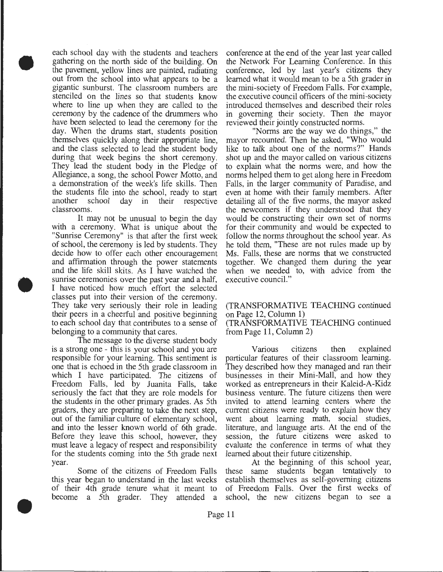• each school day with the students and teachers gathering on the north side of the building. On the pavement, yellow lines are painted, radiating out from the school into what appears to be a gigantic sunburst. The classroom numbers are stenciled on the lines so that students know where to line up when they are called to the ceremony by the cadence of the drummers who have been selected to lead the ceremony for the day. When the drums start, students position themselves quickly along their appropriate line, and the class selected to lead the student body during that week begins the short ceremony. They lead the student body in the Pledge of Allegiance, a song, the school Power Motto, and a demonstration of the week's life skills. Then the students file into the school, ready to start another school day in their respective classrooms.

> It may not be unusual to begin the day with a ceremony. What is unique about the "Sunrise Ceremony" is that after the first week of school, the ceremony is led by students. They decide how to offer each other encouragement and affirmation through the power statements and the life skill skits. As I have watched the sunrise ceremonies over the past year and a half, I have noticed how much effort the selected classes put into their version of the ceremony. They take very seriously their role in leading their peers in a cheerful and positive beginning to each school day that contributes to a sense of belonging to a community that cares.

•

•

The message to the diverse student body is a strong one - this is your school and you are responsible for your learning. This sentiment is one that is echoed in the 5th grade classroom in which I have participated. The citizens of Freedom Falls, led by Juanita Falls, take seriously the fact that they are role models for the students in the other primary grades. As 5th graders, they are preparing to take the next step, out of the familiar culture of elementary school, and into the lesser known world of 6th grade. Before they leave this school, however, they must leave a legacy of respect and responsibility for the students coming into the 5th grade next year.

Some of the citizens of Freedom Falls this year began to understand in the last weeks of their 4th grade tenure what it meant to become a 5th grader. They attended a

conference at the end of the year last year called the Network For Learning Conference. In this conference, led by last year's citizens they learned what it would mean to be a 5th grader in the mini-society of Freedom Falls. For example, the executive council officers of the mini-society introduced themselves and described their roles in governing their society. Then the mayor reviewed their jointly constructed norms.

"Norms are the way we do things," the mayor recounted. Then he asked, "Who would like to talk about one of the norms?" Hands shot up and the mayor called on various citizens to explain what the norms were, and how the norms helped them to get along here in Freedom Falls, in the larger community of Paradise, and even at home with their family members. After detailing all of the five norms, the mayor asked the newcomers if they understood that they would be constructing their own set of norms for their community and would be expected to follow the norms throughout the school year. As he told them, "These are not rules made up by Ms. Falls, these are norms that we constructed together. We changed them during the year when we needed to, with advice from the executive council."

### (TRANSFORMATIVE TEACHING continued on Page 12, Column 1)

(TRANSFORMA TIVE TEACHING continued from Page 11, Column 2)

Various citizens then explained particular features of their classroom learning. They described how they managed and ran their businesses in their Mini-Mall, and how they worked as entrepreneurs in their Kaleid-A-Kidz business venture. The future citizens then were invited to attend learning centers where the current citizens were ready to explain how they went about learning math, social studies, literature, and language arts. At the end of the session, the future citizens were asked to evaluate the conference in terms of what they learned about their future citizenship.

At the beginning of this school year, these same students began tentatively to establish themselves as self-governing citizens of Freedom Falls. Over the first weeks of school, the new citizens began to see a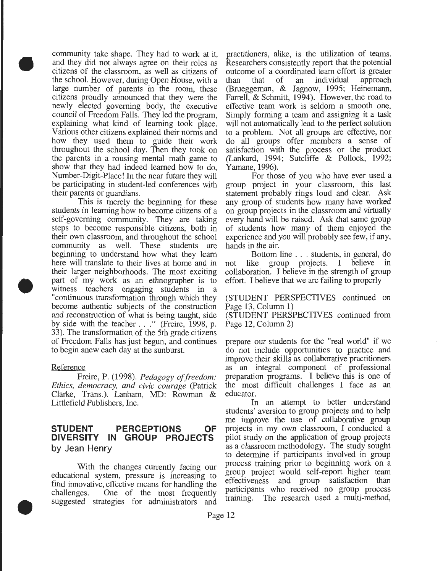community take shape. They had to work at it, and they did not always agree on their roles as citizens of the classroom, as well as citizens of the school. However, during Open House, with a large number of parents in the room, these citizens proudly announced that they were the newly elected governing body, the executive council of Freedom Falls. They led the program, explaining what kind of learning took place. Various other citizens explained their norms and how they used them to guide their work throughout the school day. Then they took on the parents in a rousing mental math game to show that they had indeed learned how to do, Number-Digit-Place! In the near future they will be participating in student-led conferences with their parents or guardians.

• This is merely the beginning for these students in learning how to become citizens of a self-governing community. They are taking steps to become responsible citizens, both in their own classroom, and throughout the school community as well. These students are beginning to understand how what they learn here will translate to their lives at home and in their larger neighborhoods. The most exciting part of my work as an ethnographer is to witness teachers engaging students in a "continuous transformation through which they become authentic subjects of the construction and reconstruction of what is being taught, side by side with the teacher . . ." (Freire, 1998, p. 33). The transformation of the 5th grade citizens of Freedom Falls has just begun, and continues to begin anew each day at the sunburst.

### Reference

•

•

Freire, P. (1998). *Pedagogy of freedom: Ethics, democracy, and civic courage* (Patrick Clarke, Trans.). Lanham, MD: Rowman & Littlefield Publishers, Inc.

### **STUDENT PERCEPTIONS OF DIVERSITY IN GROUP PROJECTS**  by Jean Henry

With the changes currently facing our educational system, pressure is increasing to find innovative, effective means for handling the challenges. One of the most frequently suggested strategies for administrators and

practitioners, alike, is the utilization of teams. Researchers consistently report that the potential outcome of a coordinated team effort is greater than that of an individual approach (Brueggeman, & Jagnow, 1995; Heinemann, Farrell, & Schmitt, 1994). However, the road to effective team work is seldom a smooth one. Simply forming a team and assigning it a task will not automatically lead to the perfect solution to a problem. Not all groups are effective, nor do all groups offer members a sense of satisfaction with the process or the product (Lankard, 1994; Sutcliffe & Pollock, 1992; Yamane, 1996).

For those of you who have ever used a group project in your classroom, this last statement probably rings loud and clear. Ask any group of students how many have worked on group projects in the classroom and virtually every hand will be raised. Ask that same group of students how many of them enjoyed the experience and you will probably see few, if any, hands in the air.

Bottom line . . . students, in general, do not like group projects. I believe in collaboration. I believe in the strength of group effort. I believe that we are failing to properly

(STUDENT PERSPECTIVES continued on Page 13, Column 1)

(STUDENT PERSPECTIVES continued from Page 12, Column 2)

prepare our students for the "real world" if we do not include opportunities to practice and improve their skills as collaborative practitioners as an integral component of professional preparation programs. I believe this is one of the most difficult challenges I face as an educator.

In an attempt to better understand students' aversion to group projects and to help me improve the use of collaborative group projects in my own classroom, I conducted a pilot study on the application of group projects as a classroom methodology. The study sought to determine if participants involved in group process training prior to beginning work on a group project would self-report higher team effectiveness and group satisfaction than participants who received no group process training. The research used a multi-method,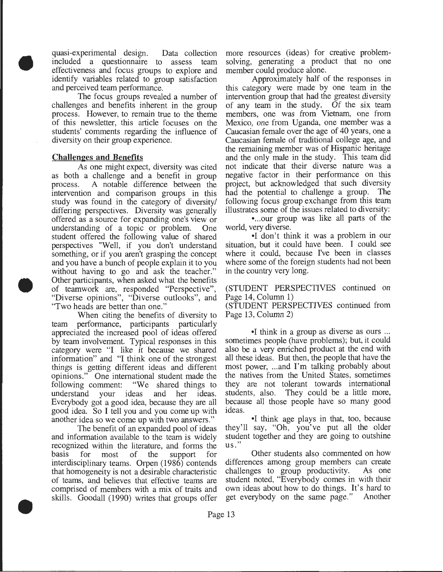quasi-experimental design. Data collection included a questionnaire to assess team effectiveness and focus groups to explore and identify variables related to group satisfaction and perceived team performance.

• The focus groups revealed a number of challenges and benefits inherent in the group process. However, to remain true to the theme of this newsletter, this article focuses on the students' comments regarding the influence of diversity on their group experience.

### Challen~es **and Benefits**

•

•

As one might expect, diversity was cited as both a challenge and a benefit in group process. A notable difference between the intervention and comparison groups in this study was found in the category of diversity/ differing perspectives. Diversity was generally offered as a source for expanding one's view or understanding of a topic or problem. One student offered the following value of shared perspectives "Well, if you don't understand something, or if you aren't grasping the concept and you have a bunch of people explain it to you without having to go and ask the teacher." Other participants, when asked what the benefits of teamwork are, responded "Perspective", "Diverse opinions", "Diverse outlooks", and "Two heads are better than one."

When citing the benefits of diversity to team performance, participants particularly appreciated the increased pool of ideas offered by team involvement. Typical responses in this category were "I like it because we shared information" and "I think one of the strongest things is getting different ideas and different opinions." One international student made the following comment: "We shared things to understand your ideas and her ideas. Everybody got a good idea, because they are all good idea. So I tell you and you come up with another idea so we come up with two answers."

The benefit of an expanded pool of ideas and information available to the team is widely recognized within the literature, and forms the basis for most of the support for interdisciplinary teams. Orpen (1986) contends that homogeneity is not a desirable characteristic of teams, and believes that effective teams are comprised of members with a mix of traits and skills. Goodall (1990) writes that groups offer

more resources (ideas) for creative problemsolving, generating a product that no one member could produce alone.

Approximately half of the responses in this category were made by one team in the intervention group that had the greatest diversity of any team in the study. Of the six team members, one was from Vietnam, one from Mexico, one from Uganda, one member was a Caucasian female over the age of 40 years, one a Caucasian female of traditional college age, and the remaining member was of Hispanic heritage and the only male in the study. This team did not indicate that their diverse nature was a negative factor in their performance on this project, but acknowledged that such diversity had the potential to challenge a group. The following focus group exchange from this team illustrates some of the issues related to diversity:

• ... our group was like all parts of the world, very diverse.

• I don't think it was a problem in our situation, but it could have been. I could see where it could, because I've been in classes where some of the foreign students had not been in the country very long.

(STUDENT PERSPECTIVES continued on Page 14, Column 1)

(STUDENT PERSPECTIVES continued from Page 13, Column 2)

•I think in a group as diverse as ours ... sometimes people (have problems); but, it could also be a very enriched product at the end with all these ideas. But then, the people that have the most power, ... and I'm talking probably about the natives from the United States, sometimes they are not tolerant towards international students, also. They could be a little more, because all those people have so many good ideas.

•I think age plays in that, too, because they'll say, "Oh, you've put all the older student together and they are going to outshine us."

Other students also commented on how differences among group members can create challenges to group productivity. As one student noted, "Everybody comes in with their own ideas about how to do things. It's hard to get everybody on the same page." Another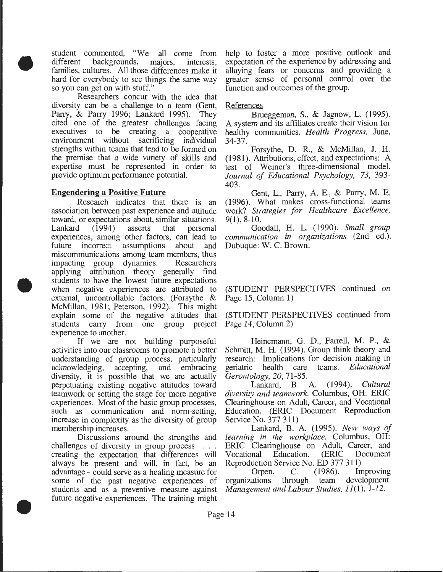• student commented, "We all come from different backgrounds, majors, interests, families, cultures. All those differences make it hard for everybody to see things the same way so you can get on with stuff."

Researchers concur with the idea that diversity can be a challenge to a team (Gent, Parry, & Parry 1996; Lankard 1995). They cited one of the greatest challenges facing executives to be creating a cooperative environment without sacrificing individual strengths within teams that tend to be formed on the premise that a wide variety of skills and expertise must be represented in order to provide optimum performance potential.

### **Engendering a Positive Future**

•

•

Research indicates that there is an association between past experience and attitude toward, or expectations about, similar situations. Lankard (1994) asserts that personal experiences, among other factors, can lead to future incorrect assumptions about and miscommunications among team members, thus impacting group dynamics. Researchers applying attribution theory generally find students to have the lowest future expectations when negative experiences are attributed to external, uncontrollable factors. (Forsythe & McMillan, 1981; Peterson, 1992). This might explain some of the negative attitudes that students carry from one group project experience to another.

If we are not building purposeful activities into our classrooms to promote a better understanding of group process, particularly acknowledging, accepting, and embracing diversity, it is possible that we are actually perpetuating existing negative attitudes toward teamwork or setting the stage for more negative experiences. Most of the basic group processes, such as communication and norm-setting, increase in complexity as the diversity of group membership increases.

Discussions around the strengths and challenges of diversity in group process ... creating the expectation that differences will always be present and will, in fact, be an advantage - could serve as a healing measure for some of the past negative experiences of students and as a preventive measure against future negative experiences. The training might

help to foster a more positive outlook and expectation of the experience by addressing and allaying fears or concerns and providing a greater sense of personal control over the function and outcomes of the group.

### References

Brueggeman, S., & Jagnow, L. (1995). A system and its affiliates create their vision for healthy communities. *Health Progress,* June, 34-37.

Forsythe, D. R., & McMillan, J. H. (1981). Attributions, effect, and expectations: A test of Weiner's three-dimensional model. *Journal of Educational Psychology, 73,* 393- 403.

Gent, L., Parry, A E., & Parry, M. E. (1996). What makes cross-functional teams work? *Strategies for Healthcare Excellence,*  9(1), 8-10.

Goodall, H. L. (1990). *Small group communication in organizations* (2nd ed.). Dubuque: W. C. Brown.

(STUDENT PERSPECTIVES continued on Page 15, Column 1)

(STUDENT PERSPECTIVES continued from Page 14, Column 2)

Heinemann, G. D., Farrell, M. P., & Schmitt, M. H. (1994). Group think theory and research: Implications for decision making in geriatric health care teams. *Educational Gerontology, 20,* 71-85.

Lankard, B. A. (1994). *Cultural diversity and teamwork.* Columbus, OH: ERIC Clearinghouse on Adult, Career, and Vocational Education. (ERIC Document Reproduction Service No. 377 311)

Lankard, B. A. (1995). *New ways of learning in the workplace.* Columbus, OH: ERIC Clearinghouse on Adult, Career, and Vocational Education. (ERIC Document Reproduction Service No. ED 377 311)

Orpen, C. (1986). Improving organizations through team development. *Management and Labour Studies, 11(1), 1-12.*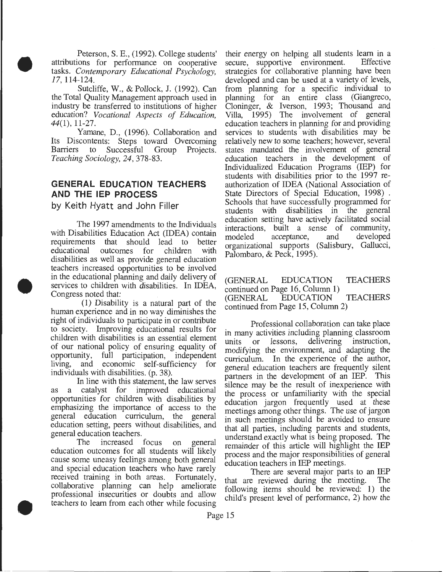Peterson, S. E., (1992). College students' attributions for performance on cooperative tasks. *Contemporary Educational Psychology,*  17, 114-124.

•

•

•

Sutcliffe, W., & Pollock, J. (1992). Can the Total Quality Management approach used in industry be transferred to institutions of higher education? *Vocational Aspects of Education, 44(1),* 11-27.

Yamane, D., (1996). Collaboration and Its Discontents: Steps toward Overcoming Barriers to Successful Group Projects. *Teaching Sociology, 24,* 378-83.

# **GENERAL EDUCATION TEACHERS AND THE IEP PROCESS**

by Keith Hyatt and John Filler

The 1997 amendments to the Individuals with Disabilities Education Act (IDEA) contain requirements that should lead to better<br>educational outcomes for children with outcomes for children with disabilities as well as provide general education teachers increased opportunities to be involved in the educational planning and daily delivery of services to children with disabilities. In IDEA, Congress noted that:

(1) Disability is a natural part of the human experience and in no way diminishes the right of individuals to participate in or contribute to society. Improving educational results for children with disabilities is an essential element of our national policy of ensuring equality of opportunity, full participation, independent full participation, independent living, and economic self-sufficiency for individuals with disabilities. (p. 38).

In line with this statement, the law serves as a catalyst for improved educational opportunities for children with disabilities by emphasizing the importance of access to the general education curriculum, the general education setting, peers without disabilities, and general education teachers.

The increased focus on general education outcomes for all students will likely cause some uneasy feelings among both general and special education teachers who have rarely received training in both areas. Fortunately, collaborative planning can help ameliorate professional insecurities or doubts and allow teachers to learn from each other while focusing

their energy on helping all students learn in a<br>secure, supportive environment. Effective secure, supportive environment. strategies for collaborative planning have been developed and can be used at a variety of levels, from planning for a specific individual to planning for an entire class (Giangreco, Cloninger, & Iverson, 1993; Thousand and Villa, 1995) The involvement of general education teachers in planning for and providing services to students with disabilities may be relatively new to some teachers; however, several states mandated the involvement of general education teachers in the development of Individualized Education Programs (IEP) for students with disabilities prior to the 1997 reauthorization of IDEA (National Association of State Directors of Special Education, 1998) . Schools that have successfully programmed for students with disabilities in the general education setting have actively facilitated social interactions, built a sense of community, modeled acceptance, and developed organizational supports (Salisbury, Gallucci, Palombaro, & Peck, 1995).

(GENERAL EDUCATION TEACHERS continued on Page 16, Column 1) (GENERAL EDUCATION TEACHERS continued from Page 15, Column 2)

Professional collaboration can take place in many activities including planning classroom<br>units or lessons, delivering instruction, units or lessons, delivering instruction, modifying the environment, and adapting the curriculum. In the experience of the author, general education teachers are frequently silent partners in the development of an IEP. This silence may be the result of inexperience with the process or unfamiliarity with the special education jargon frequently used at these meetings among other things. The use of jargon in such meetings should be avoided to ensure that all parties, including parents and students, understand exactly what is being proposed. The remainder of this article will highlight the IEP process and the major responsibilities of general education teachers in IEP meetings.

There are several major parts to an IEP that are reviewed during the meeting. The following items should be reviewed: 1) the child's present level of performance, 2) how the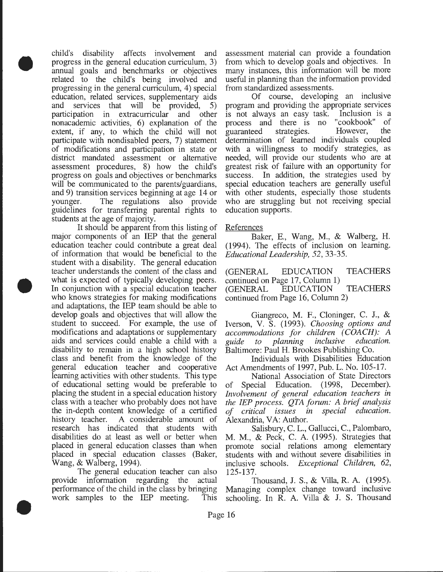child's disability affects involvement and progress in the general education curriculum, 3) annual goals and benchmarks or objectives related to the child's being involved and progressing in the general curriculum, 4) special education, related services, supplementary aids and services that will be provided, 5) participation in extracurricular and other nonacademic activities, 6) explanation of the extent, if any, to which the child will not participate with nondisabled peers, 7) statement of modifications and participation in state or district mandated assessment or alternative assessment procedures, 8) how the child's progress on goals and objectives or benchmarks will be communicated to the parents/guardians, and 9) transition services beginning at age 14 or younger. The regulations also provide guidelines for transferring parental rights to students at the age of majority.

•

•

•

It should be apparent from this listing of major components of an IEP that the general education teacher could contribute a great deal of information that would be beneficial to the student with a disability. The general education teacher understands the content of the class and what is expected of typically developing peers. In conjunction with a special education teacher who knows strategies for making modifications and adaptations, the IEP team should be able to develop goals and objectives that will allow the student to succeed. For example, the use of modifications and adaptations or supplementary aids and services could enable a child with a disability to remain in a high school history class and benefit from the knowledge of the general education teacher and cooperative learning activities with other students. This type of educational setting would be preferable to placing the student in a special education history class with a teacher who probably does not have the in-depth content knowledge of a certified history teacher. A considerable amount of research has indicated that students with disabilities do at least as well or better when placed in general education classes than when placed in special education classes (Baker, Wang, & Walberg, 1994).

The general education teacher can also provide information regarding the actual performance of the child in the class by bringing work samples to the IEP meeting. This

assessment material can provide a foundation from which to develop goals and objectives. In many instances, this information will be more useful in planning than the information provided from standardized assessments.

Of course, developing an inclusive program and providing the appropriate services is not always an easy task. Inclusion is a process and there is no "cookbook" of guaranteed strategies. However, the determination of learned individuals coupled with a willingness to modify strategies, as needed, will provide our students who are at greatest risk of failure with an opportunity for success. In addition, the strategies used by special education teachers are generally useful with other students, especially those students who are struggling but not receiving special education supports.

### References

Baker, E., Wang, M., & Walberg, H. (1994). The effects of inclusion on learning. *Educational Leadership, 52,* 33-35.

(GENERAL EDUCATION TEACHERS continued on Page 17, Column 1) (GENERAL EDUCATION TEACHERS continued from Page 16, Column 2)

Giangreco, M. F., Cloninger, C. J., & Iverson, V. S. (1993). *Choosing options and accommodations for children (COACH): A guide to planning inclusive education.*  Baltimore: Paul H. Brookes Publishing Co.

Individuals with Disabilities Education Act Amendments of 1997, Pub. L. No. 105-17.

National Association of State Directors of Special Education. (1998, December). *Involvement of general education teachers in the IEP process. QTA forum: A brief analysis of critical issues in special education.*  Alexandria, VA: Author.

Salisbury, C. L., Gallucci, C., Palombaro, M. M., & Peck, C. A. (1995). Strategies that promote social relations among elementary students with and without severe disabilities in inclusive schools. *Exceptional Children, 62,*  125-137.

Thousand, J. S., & Villa, R. A. (1995). Managing complex change toward inclusive schooling. In R. A. Villa & J. S. Thousand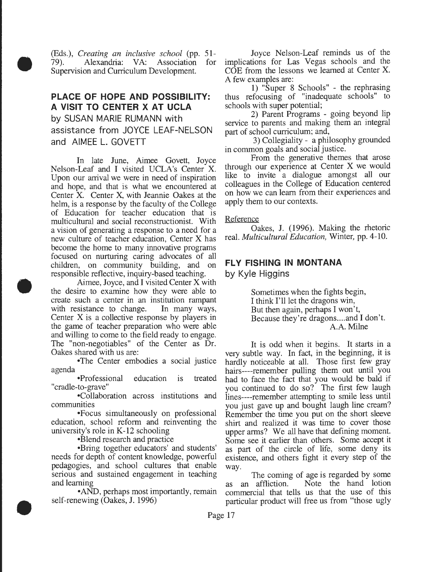(Eds.), *Creating an inclusive school* (pp. 51- 79). Alexandria: VA: Association for Supervision and Curriculum Development.

•

•

•

# **PLACE OF HOPE AND POSSIBILITY: A VISIT TO CENTER X AT UCLA**  by SUSAN MARIE RUMANN with assistance from JOYCE LEAF-NELSON and AIMEE L. GOVETT

In late June, Aimee Govett, Joyce Nelson-Leaf and I visited UCLA's Center X. Upon our arrival we were in need of inspiration and hope, and that is what we encountered at Center X. Center X, with Jeannie Oakes at the helm, is a response by the faculty of the College of Education for teacher education that is multicultural and social reconstructionist. With a vision of generating a response to a need for a new culture of teacher education, Center X has become the home to many innovative programs focused on nurturing caring advocates of all children, on community building, and on responsible reflective, inquiry-based teaching.

Aimee, Joyce, and I visited Center X with the desire to examine how they were able to create such a center in an institution rampant with resistance to change. In many ways, Center X is a collective response by players in the game of teacher preparation who were able and willing to come to the field ready to engage. The "non-negotiables" of the Center as Dr. Oakes shared with us are:

•The Center embodies a social justice agenda

•Professional education is treated "cradle-to-grave"

•Collaboration across institutions and communities

•Focus simultaneously on professional education, school reform and reinventing the university's role in K-12 schooling

•Blend research and practice

•Bring together educators' and students' needs for depth of content knowledge, powerful pedagogies, and school cultures that enable serious and sustained engagement in teaching and learning

•AND, perhaps most importantly, remain self-renewing (Oakes, J. 1996)

Joyce Nelson-Leaf reminds us of the implications for Las Vegas schools and the COE from the lessons we learned at Center X. A few examples are:

1) "Super 8 Schools" - the rephrasing thus refocusing of "inadequate schools" to schools with super potential;

2) Parent Programs - going beyond lip service to parents and making them an integral part of school curriculum; and,

3) Collegiality - a philosophy grounded in common goals and social justice.

From the generative themes that arose through our experience at Center X we would like to invite a dialogue amongst all our colleagues in the College of Education centered on how we can learn from their experiences and apply them to our contexts.

### Reference

Oakes, J. (1996). Making the rhetoric real. *Multicultural Education,* Winter, pp. 4-10.

## **FLY FISHING IN MONTANA**

by Kyle Higgins

Sometimes when the fights begin, I think I'll let the dragons win, But then again, perhaps I won't, Because they're dragons.... and I don't. A.A. Milne

It is odd when it begins. It starts in a very subtle way. In fact, in the beginning, it is hardly noticeable at all. Those first few gray hairs----remember pulling them out until you had to face the fact that you would be bald if you continued to do so? The first few laugh lines----remember attempting to smile less until you just gave up and bought laugh line cream? Remember the time you put on the short sleeve shirt and realized it was time to cover those upper arms? We all have that defining moment. Some see it earlier than others. Some accept it as part of the circle of life, some deny its existence, and others fight it every step of the way.

The coming of age is regarded by some as an affliction. Note the hand lotion commercial that tells us that the use of this particular product will free us from "those ugly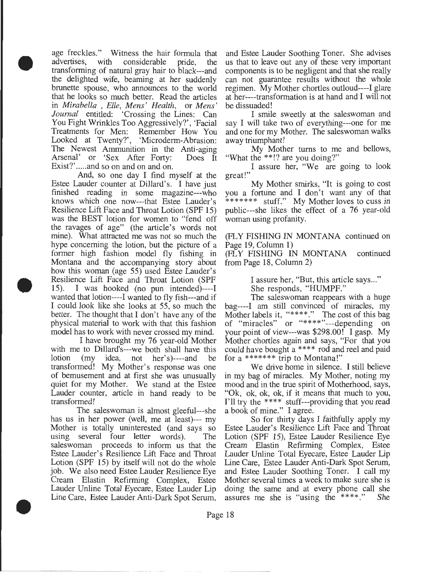• age freckles." Witness the hair formula that advertises, with considerable pride, the transforming of natural gray hair to black---and the delighted wife, beaming at her suddenly brunette spouse, who announces to the world that he looks so much better. Read the articles in *Mirabella* , *Elle, Mens' Health,* or *Mens' Journal* entitled: 'Crossing the Lines: Can You Fight Wrinkles Too Aggressively?', 'Facial Treatments for Men: Remember How You Looked at Twenty?', 'Microderm-Abrasion: The Newest Ammunition in the Anti-aging Arsenal' or 'Sex After Forty: Does It Exist?'.....and so on and on and on.

And, so one day I find myself at the Estee Lauder counter at Dillard's. I have just finished reading in some magazine---who knows which one now---that Estee Lauder's Resilience Lift Face and Throat Lotion (SPF 15) was the BEST lotion for women to "fend off the ravages of age" (the article's words not mine). What attracted me was not so much the hype concerning the lotion, but the picture of a former high fashion model fly fishing in Montana and the accompanying story about how this woman (age 55) used Estee Lauder's Resilience Lift Face and Throat Lotion (SPF 15). I was hooked (no pun intended)----I wanted that lotion----I wanted to fly fish---and if I could look like she looks at 55, so much the better. The thought that I don't have any of the physical material to work with that this fashion model has to work with never crossed my mind.

•

•

I have brought my 76 year-old Mother with me to Dillard's---we both shall have this lotion (my idea, not her's)----and be transformed! My Mother's response was one of bemusement and at first she was unusually quiet for my Mother. We stand at the Estee Lauder counter, article in hand ready to be transformed!

The saleswoman is almost gleeful---she has us in her power (well, me at least)--- my Mother is totally uninterested (and says so using several four letter words). The saleswoman proceeds to inform us that the Estee Lauder's Resilience Lift Face and Throat Lotion (SPF 15) by itself will not do the whole job. We also need Estee Lauder Resilience Eye Cream Elastin Refirming Complex, Estee Lauder Unline Total Eyecare, Estee Lauder Lip Line Care, Estee Lauder Anti-Dark Spot Serum,

and Estee Lauder Soothing Toner. She advises us that to leave out any of these very important components is to be negligent and that she really can not guarantee results without the whole regimen. My Mother chortles outloud----I glare at her----transformation is at hand and I will not be dissuaded!

I smile sweetly at the saleswoman and say I will take two of everything---one for me and one for my Mother. The saleswoman walks away triumphant!

My Mother turns to me and bellows, "What the\*\*!? are you doing?"

I assure her, "We are going to look great!"

My Mother smirks, "It is going to cost you a fortune and I don't want any of that \*\*\*\*\*\*\* stuff." My Mother loves to cuss in public---she likes the effect of a 76 year-old woman using profanity.

(FLY FISHING IN MONTANA continued on Page 19, Column 1)

(FLY FISHING IN MONTANA continued from Page 18, Column 2)

> I assure her, "But, this article says ... " She responds, "HUMPF."

The saleswoman reappears with a huge bag----I am still convinced of miracles, my Mother labels it, "\*\*\*\*." The cost of this bag of "miracles" or "\*\*\*\*"---depending on your point of view---was \$298.00! I gasp. My Mother chortles again and says, "For that you could have bought a \*\*\*\* rod and reel and paid for a \*\*\*\*\*\*\* trip to Montana!"

We drive home in silence. I still believe in my bag of miracles. My Mother, noting my mood and in the true spirit of Motherhood, says, "Ok, ok, ok, ok, if it means that much to you, I'll try the \*\*\*\* stuff---providing that you read a book of mine." I agree.

So for thirty days I faithfully apply my Estee Lauder's Resilience Lift Face and Throat Lotion (SPF 15), Estee Lauder Resilience Eye Cream Elastin Refirming Complex, Estee Lauder Unline Total Eyecare, Estee Lauder Lip Line Care, Estee Lauder Anti-Dark Spot Serum, and Estee Lauder Soothing Toner. I call my Mother several times a week to make sure she is doing the same and at every phone call she assures me she is "using the \*\*\*\*." She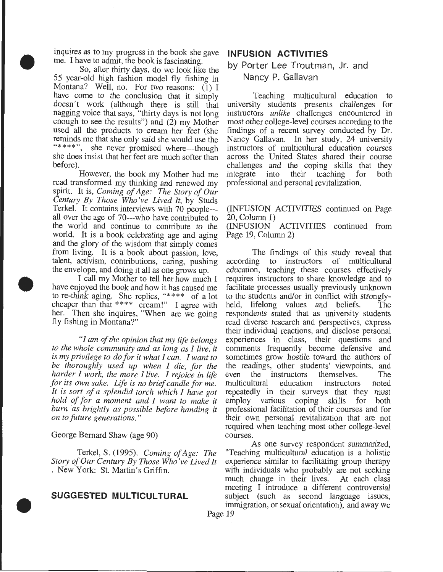inquires as to my progress in the book she gave me. I have to admit, the book is fascinating.

• So, after thirty days, do we look like the 55 year-old high fashion model fly fishing in Montana? Well, no. For two reasons: **(1)** I have come to the conclusion that it simply doesn't work (although there is still that nagging voice that says, "thirty days is not long enough to see the results") and  $(2)$  my Mother used all the products to cream her feet (she reminds me that she only said she would use the "\*\*\*\*", she never promised where---though she does insist that her feet are much softer than before).

> However, the book my Mother had me read transformed my thinking and renewed my spirit. It is, *Coming of Age: The Story of Our Century By Those Who've Lived It,* by Studs Terkel. It contains interviews with 70 people-- all over the age of 70---who have contributed to the world and continue to contribute to the world. It is a book celebrating age and aging and the glory of the wisdom that simply comes from living. It is a book about passion, love, talent, activism, contributions, caring, pushing the envelope, and doing it all as one grows up.

tale<br>the<br>have<br>to r<br>che I call my Mother to tell her how much I have enjoyed the book and how it has caused me to re-think aging. She replies, "\*\*\*\* of a lot cheaper than that \*\*\*\* cream!" I agree with her. Then she inquires, "When are we going fly fishing in Montana?"

> *"I am of the opinion that my life belongs to the whole community and as long as I live, it is my privilege to do for it what I can. I want to be thoroughly used up when I die, for the harder I work, the more I live. I rejoice in life for its own sake. Life is no brief candle for me. It is sort of a splendid torch which I have got hold of for a moment and I want to make it burn as brightly as possible before handing it on to future generations."*

George Bernard Shaw (age 90)

•

Terkel, S. (1995). *Coming of Age: The Story of Our Century By Those Who've Lived It*  . New York: St. Martin's Griffin.

## **SUGGESTED MULTICULTURAL**

## **INFUSION ACTIVITIES**

# **by Porter Lee Troutman, Jr. and Nancy P. Gallavan**

Teaching multicultural education to university students presents challenges for instructors *unlike* challenges encountered in most other college-level courses according to the findings of a recent survey conducted by Dr. Nancy Gallavan. In her study, 24 university instructors of multicultural education courses across the United States shared their course challenges and the coping skills that they integrate into their teaching for both professional and personal revitalization.

(INFUSION ACTIVITIES continued on Page 20, Column 1)

(INFUSION ACTIVITIES continued from Page 19, Column 2)

The findings of this study reveal that according to instructors of multicultural education, teaching these courses effectively requires instructors to share knowledge and to facilitate processes usually previously unknown to the students and/or in conflict with stronglyheld, lifelong values and beliefs. The respondents stated that as university students read diverse research and perspectives, express their individual reactions, and disclose personal experiences in class, their questions and comments frequently become defensive and sometimes grow hostile toward the authors of the readings, other students' viewpoints, and even the instructors themselves. The multicultural education instructors noted repeatedly in their surveys that they must employ various coping skills for both professional facilitation of their courses and for their own personal revitalization that are not required when teaching most other college-level courses.

As one survey respondent summarized, "Teaching multicultural education is a holistic experience similar to facilitating group therapy with individuals who probably are not seeking much change in their lives. At each class meeting I introduce a different controversial subject (such as second language issues, immigration, or sexual orientation), and away we